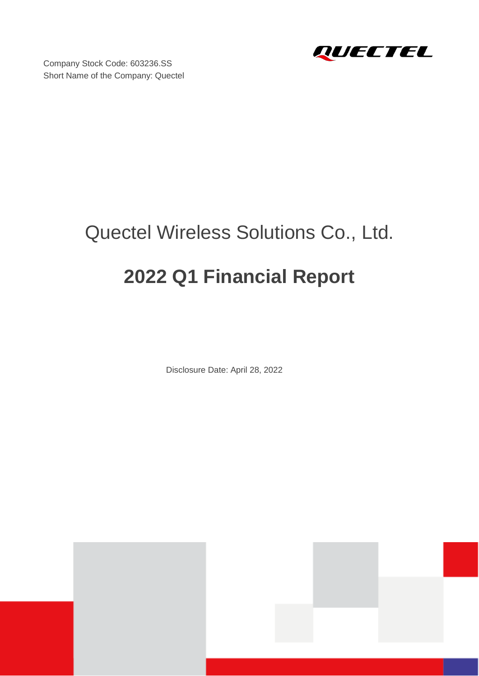

Company Stock Code: 603236.SS Short Name of the Company: Quectel

# Quectel Wireless Solutions Co., Ltd. **2022 Q1 Financial Report**

Disclosure Date: April 28, 2022



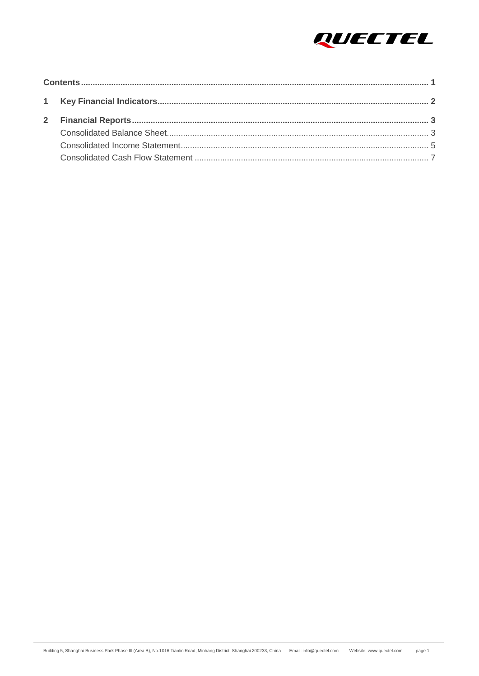

<span id="page-1-0"></span>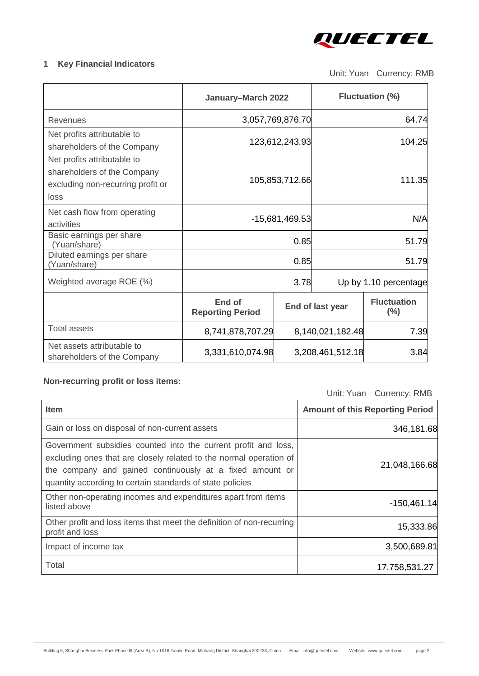

#### <span id="page-2-0"></span>**1 Key Financial Indicators**

Unit: Yuan Currency: RMB

|                                                                                                         | January-March 2022                |                |                  | <b>Fluctuation (%)</b>       |
|---------------------------------------------------------------------------------------------------------|-----------------------------------|----------------|------------------|------------------------------|
| Revenues                                                                                                | 3,057,769,876.70                  |                |                  | 64.74                        |
| Net profits attributable to<br>shareholders of the Company                                              | 123,612,243.93                    |                |                  | 104.25                       |
| Net profits attributable to<br>shareholders of the Company<br>excluding non-recurring profit or<br>loss | 105,853,712.66                    |                |                  | 111.35                       |
| Net cash flow from operating<br>activities                                                              |                                   | -15,681,469.53 |                  | N/A                          |
| Basic earnings per share<br>(Yuan/share)                                                                |                                   | 0.85           |                  | 51.79                        |
| Diluted earnings per share<br>(Yuan/share)                                                              |                                   | 0.85           |                  | 51.79                        |
| Weighted average ROE (%)                                                                                |                                   | 3.78           |                  | Up by 1.10 percentage        |
|                                                                                                         | End of<br><b>Reporting Period</b> |                | End of last year | <b>Fluctuation</b><br>$(\%)$ |
| <b>Total assets</b>                                                                                     | 8,741,878,707.29                  |                | 8,140,021,182.48 | 7.39                         |
| Net assets attributable to<br>shareholders of the Company                                               | 3,331,610,074.98                  |                | 3,208,461,512.18 | 3.84                         |

# **Non-recurring profit or loss items:**

Unit: Yuan Currency: RMB

| <b>Item</b>                                                                                                                                                                                                                                                   | <b>Amount of this Reporting Period</b> |
|---------------------------------------------------------------------------------------------------------------------------------------------------------------------------------------------------------------------------------------------------------------|----------------------------------------|
| Gain or loss on disposal of non-current assets                                                                                                                                                                                                                | 346,181.68                             |
| Government subsidies counted into the current profit and loss,<br>excluding ones that are closely related to the normal operation of<br>the company and gained continuously at a fixed amount or<br>quantity according to certain standards of state policies | 21,048,166.68                          |
| Other non-operating incomes and expenditures apart from items<br>listed above                                                                                                                                                                                 | $-150,461.14$                          |
| Other profit and loss items that meet the definition of non-recurring<br>profit and loss                                                                                                                                                                      | 15,333.86                              |
| Impact of income tax                                                                                                                                                                                                                                          | 3,500,689.81                           |
| Total                                                                                                                                                                                                                                                         | 17,758,531.27                          |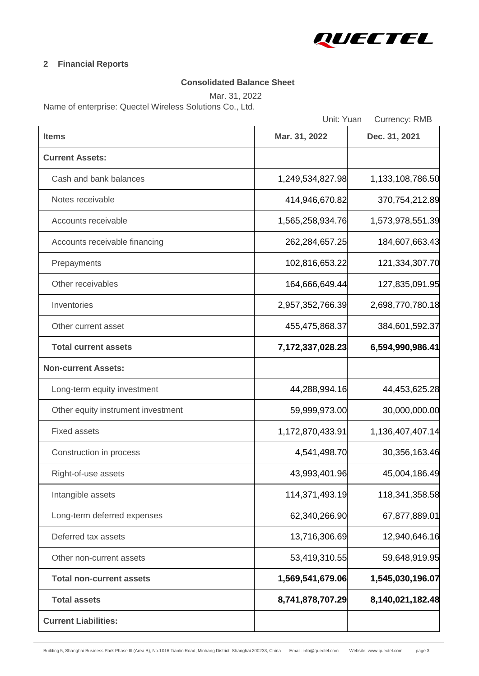

#### <span id="page-3-0"></span>**2 Financial Reports**

#### <span id="page-3-1"></span>**Consolidated Balance Sheet**

Mar. 31, 2022

Name of enterprise: Quectel Wireless Solutions Co., Ltd.

| <b>Items</b><br><b>Current Assets:</b> | Mar. 31, 2022    | Dec. 31, 2021    |
|----------------------------------------|------------------|------------------|
|                                        |                  |                  |
|                                        |                  |                  |
| Cash and bank balances                 | 1,249,534,827.98 | 1,133,108,786.50 |
| Notes receivable                       | 414,946,670.82   | 370,754,212.89   |
| Accounts receivable                    | 1,565,258,934.76 | 1,573,978,551.39 |
| Accounts receivable financing          | 262,284,657.25   | 184,607,663.43   |
| Prepayments                            | 102,816,653.22   | 121,334,307.70   |
| Other receivables                      | 164,666,649.44   | 127,835,091.95   |
| Inventories                            | 2,957,352,766.39 | 2,698,770,780.18 |
| Other current asset                    | 455,475,868.37   | 384,601,592.37   |
| <b>Total current assets</b>            | 7,172,337,028.23 | 6,594,990,986.41 |
| <b>Non-current Assets:</b>             |                  |                  |
| Long-term equity investment            | 44,288,994.16    | 44,453,625.28    |
| Other equity instrument investment     | 59,999,973.00    | 30,000,000.00    |
| <b>Fixed assets</b>                    | 1,172,870,433.91 | 1,136,407,407.14 |
| Construction in process                | 4,541,498.70     | 30,356,163.46    |
| Right-of-use assets                    | 43,993,401.96    | 45,004,186.49    |
| Intangible assets                      | 114,371,493.19   | 118,341,358.58   |
| Long-term deferred expenses            | 62,340,266.90    | 67,877,889.01    |
| Deferred tax assets                    | 13,716,306.69    | 12,940,646.16    |
| Other non-current assets               | 53,419,310.55    | 59,648,919.95    |
| <b>Total non-current assets</b>        | 1,569,541,679.06 | 1,545,030,196.07 |
| <b>Total assets</b>                    | 8,741,878,707.29 | 8,140,021,182.48 |
| <b>Current Liabilities:</b>            |                  |                  |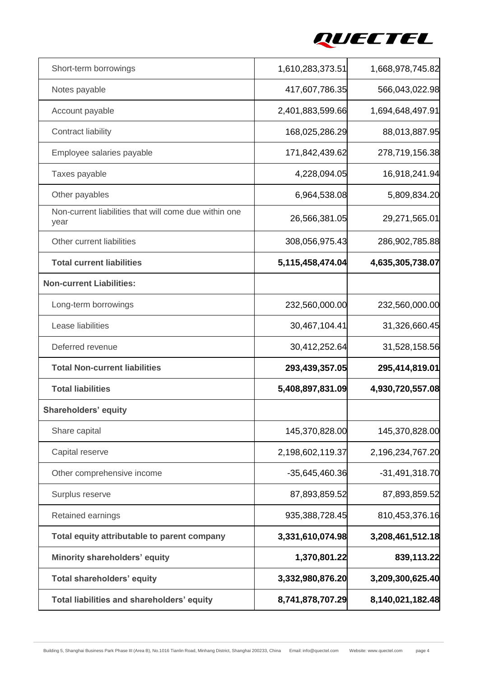

| Short-term borrowings                                         | 1,610,283,373.51 | 1,668,978,745.82 |
|---------------------------------------------------------------|------------------|------------------|
| Notes payable                                                 | 417,607,786.35   | 566,043,022.98   |
| Account payable                                               | 2,401,883,599.66 | 1,694,648,497.91 |
| <b>Contract liability</b>                                     | 168,025,286.29   | 88,013,887.95    |
| Employee salaries payable                                     | 171,842,439.62   | 278,719,156.38   |
| Taxes payable                                                 | 4,228,094.05     | 16,918,241.94    |
| Other payables                                                | 6,964,538.08     | 5,809,834.20     |
| Non-current liabilities that will come due within one<br>year | 26,566,381.05    | 29,271,565.01    |
| Other current liabilities                                     | 308,056,975.43   | 286,902,785.88   |
| <b>Total current liabilities</b>                              | 5,115,458,474.04 | 4,635,305,738.07 |
| <b>Non-current Liabilities:</b>                               |                  |                  |
| Long-term borrowings                                          | 232,560,000.00   | 232,560,000.00   |
| Lease liabilities                                             | 30,467,104.41    | 31,326,660.45    |
| Deferred revenue                                              | 30,412,252.64    | 31,528,158.56    |
| <b>Total Non-current liabilities</b>                          | 293,439,357.05   | 295,414,819.01   |
| <b>Total liabilities</b>                                      | 5,408,897,831.09 | 4,930,720,557.08 |
| <b>Shareholders' equity</b>                                   |                  |                  |
| Share capital                                                 | 145,370,828.00   | 145,370,828.00   |
| Capital reserve                                               | 2,198,602,119.37 | 2,196,234,767.20 |
| Other comprehensive income                                    | $-35,645,460.36$ | $-31,491,318.70$ |
| Surplus reserve                                               | 87,893,859.52    | 87,893,859.52    |
| Retained earnings                                             | 935,388,728.45   | 810,453,376.16   |
| Total equity attributable to parent company                   | 3,331,610,074.98 | 3,208,461,512.18 |
| <b>Minority shareholders' equity</b>                          | 1,370,801.22     | 839,113.22       |
|                                                               |                  |                  |
| <b>Total shareholders' equity</b>                             | 3,332,980,876.20 | 3,209,300,625.40 |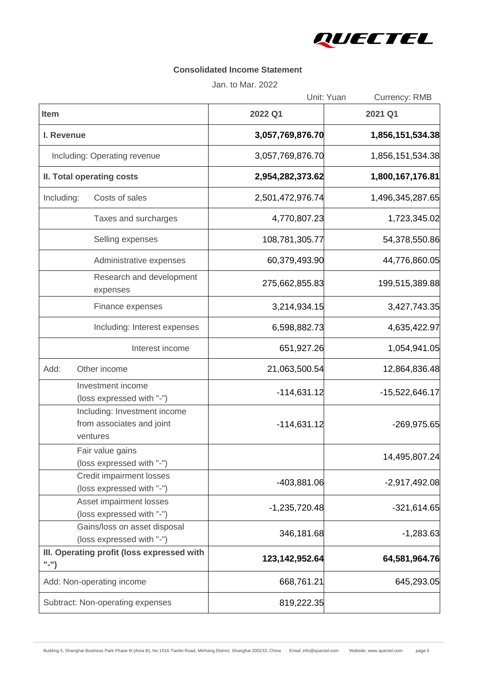

### **Consolidated Income Statement**

Jan. to Mar. 2022

<span id="page-5-0"></span>

|                                                                       | Unit: Yuan       | <b>Currency: RMB</b> |
|-----------------------------------------------------------------------|------------------|----------------------|
| <b>Item</b>                                                           | 2022 Q1          | 2021 Q1              |
| I. Revenue                                                            | 3,057,769,876.70 | 1,856,151,534.38     |
| Including: Operating revenue                                          | 3,057,769,876.70 | 1,856,151,534.38     |
| II. Total operating costs                                             | 2,954,282,373.62 | 1,800,167,176.81     |
| Including:<br>Costs of sales                                          | 2,501,472,976.74 | 1,496,345,287.65     |
| Taxes and surcharges                                                  | 4,770,807.23     | 1,723,345.02         |
| Selling expenses                                                      | 108,781,305.77   | 54,378,550.86        |
| Administrative expenses                                               | 60,379,493.90    | 44,776,860.05        |
| Research and development<br>expenses                                  | 275,662,855.83   | 199,515,389.88       |
| Finance expenses                                                      | 3,214,934.15     | 3,427,743.35         |
| Including: Interest expenses                                          | 6,598,882.73     | 4,635,422.97         |
| Interest income                                                       | 651,927.26       | 1,054,941.05         |
| Add:<br>Other income                                                  | 21,063,500.54    | 12,864,836.48        |
| Investment income<br>(loss expressed with "-")                        | $-114,631.12$    | -15,522,646.17       |
| Including: Investment income<br>from associates and joint<br>ventures | $-114,631.12$    | $-269,975.65$        |
| Fair value gains<br>(loss expressed with "-")                         |                  | 14,495,807.24        |
| <b>Credit impairment losses</b><br>(loss expressed with "-")          | $-403,881.06$    | $-2,917,492.08$      |
| Asset impairment losses<br>(loss expressed with "-")                  | $-1,235,720.48$  | $-321,614.65$        |
| Gains/loss on asset disposal<br>(loss expressed with "-")             | 346,181.68       | $-1,283.63$          |
| III. Operating profit (loss expressed with<br>"-")                    | 123,142,952.64   | 64,581,964.76        |
| Add: Non-operating income                                             | 668,761.21       | 645,293.05           |
| Subtract: Non-operating expenses                                      | 819,222.35       |                      |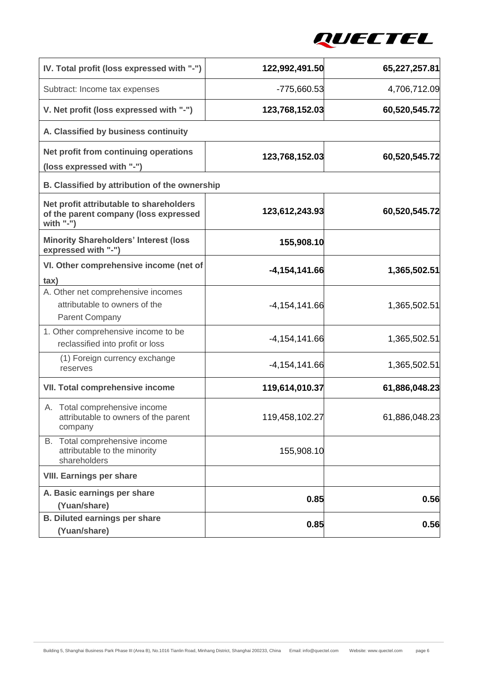

| IV. Total profit (loss expressed with "-")                                                          | 122,992,491.50    | 65,227,257.81 |
|-----------------------------------------------------------------------------------------------------|-------------------|---------------|
| Subtract: Income tax expenses                                                                       | -775,660.53       | 4,706,712.09  |
| V. Net profit (loss expressed with "-")                                                             | 123,768,152.03    | 60,520,545.72 |
| A. Classified by business continuity                                                                |                   |               |
| Net profit from continuing operations                                                               | 123,768,152.03    | 60,520,545.72 |
| (loss expressed with "-")                                                                           |                   |               |
| B. Classified by attribution of the ownership                                                       |                   |               |
| Net profit attributable to shareholders<br>of the parent company (loss expressed<br>with $"$ -" $)$ | 123,612,243.93    | 60,520,545.72 |
| <b>Minority Shareholders' Interest (loss</b><br>expressed with "-")                                 | 155,908.10        |               |
| VI. Other comprehensive income (net of<br>tax)                                                      | $-4,154,141.66$   | 1,365,502.51  |
| A. Other net comprehensive incomes<br>attributable to owners of the<br><b>Parent Company</b>        | $-4,154,141.66$   | 1,365,502.51  |
| 1. Other comprehensive income to be<br>reclassified into profit or loss                             | $-4, 154, 141.66$ | 1,365,502.51  |
| (1) Foreign currency exchange<br>reserves                                                           | $-4, 154, 141.66$ | 1,365,502.51  |
| <b>VII. Total comprehensive income</b>                                                              | 119,614,010.37    | 61,886,048.23 |
| A. Total comprehensive income<br>attributable to owners of the parent<br>company                    | 119,458,102.27    | 61,886,048.23 |
| B. Total comprehensive income<br>attributable to the minority<br>shareholders                       | 155,908.10        |               |
| <b>VIII. Earnings per share</b>                                                                     |                   |               |
| A. Basic earnings per share<br>(Yuan/share)                                                         | 0.85              | 0.56          |
| <b>B. Diluted earnings per share</b><br>(Yuan/share)                                                | 0.85              | 0.56          |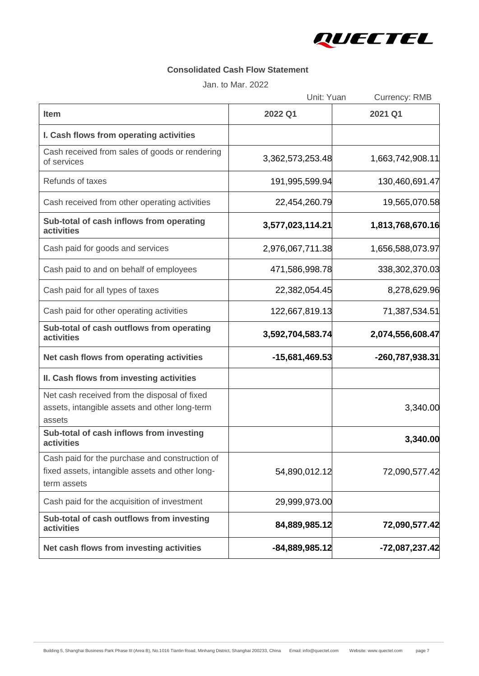

## **Consolidated Cash Flow Statement**

Jan. to Mar. 2022

<span id="page-7-0"></span>

|                                                                                                                  | Unit: Yuan       | <b>Currency: RMB</b> |
|------------------------------------------------------------------------------------------------------------------|------------------|----------------------|
| <b>Item</b>                                                                                                      | 2022 Q1          | 2021 Q1              |
| I. Cash flows from operating activities                                                                          |                  |                      |
| Cash received from sales of goods or rendering<br>of services                                                    | 3,362,573,253.48 | 1,663,742,908.11     |
| Refunds of taxes                                                                                                 | 191,995,599.94   | 130,460,691.47       |
| Cash received from other operating activities                                                                    | 22,454,260.79    | 19,565,070.58        |
| Sub-total of cash inflows from operating<br>activities                                                           | 3,577,023,114.21 | 1,813,768,670.16     |
| Cash paid for goods and services                                                                                 | 2,976,067,711.38 | 1,656,588,073.97     |
| Cash paid to and on behalf of employees                                                                          | 471,586,998.78   | 338,302,370.03       |
| Cash paid for all types of taxes                                                                                 | 22,382,054.45    | 8,278,629.96         |
| Cash paid for other operating activities                                                                         | 122,667,819.13   | 71,387,534.51        |
| Sub-total of cash outflows from operating<br>activities                                                          | 3,592,704,583.74 | 2,074,556,608.47     |
| Net cash flows from operating activities                                                                         | -15,681,469.53   | -260,787,938.31      |
| II. Cash flows from investing activities                                                                         |                  |                      |
| Net cash received from the disposal of fixed<br>assets, intangible assets and other long-term<br>assets          |                  | 3,340.00             |
| Sub-total of cash inflows from investing<br>activities                                                           |                  | 3,340.00             |
| Cash paid for the purchase and construction of<br>fixed assets, intangible assets and other long-<br>term assets | 54,890,012.12    | 72,090,577.42        |
| Cash paid for the acquisition of investment                                                                      | 29,999,973.00    |                      |
| Sub-total of cash outflows from investing<br>activities                                                          | 84,889,985.12    | 72,090,577.42        |
| Net cash flows from investing activities                                                                         | -84,889,985.12   | -72,087,237.42       |